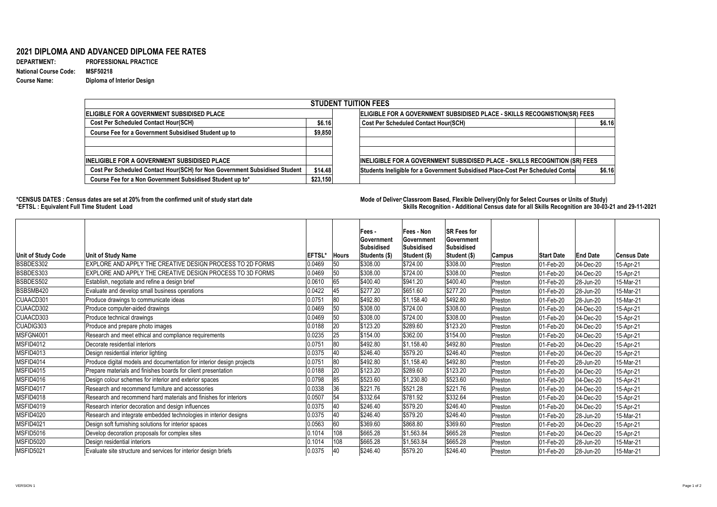**DEPARTMENT: PROFESSIONAL PRACTICE Course Name: Diploma of Interior Design**

## **2021 DIPLOMA AND ADVANCED DIPLOMA FEE RATES**

**National Course Code: MSF50218**

## **\*CENSUS DATES : Census dates are set at 20% from the confirmed unit of study start date Mode of Delivery:Classroom Based, Flexible Delivery(Only for Select Courses or Units of Study) \*EFTSL : Equivalent Full Time Student Load Skills Recognition - Additional Census date for all Skills Recognition are 30-03-21 and 29-11-2021**

| <b>STUDENT TUITION FEES</b>                                                |                                                                           |                                                                                |        |  |  |  |  |  |  |
|----------------------------------------------------------------------------|---------------------------------------------------------------------------|--------------------------------------------------------------------------------|--------|--|--|--|--|--|--|
| <b>ELIGIBLE FOR A GOVERNMENT SUBSIDISED PLACE</b>                          | ELIGIBLE FOR A GOVERNMENT SUBSIDISED PLACE - SKILLS RECOGNISTION(SR) FEES |                                                                                |        |  |  |  |  |  |  |
| <b>Cost Per Scheduled Contact Hour(SCH)</b>                                | \$6.16                                                                    | <b>Cost Per Scheduled Contact Hour(SCH)</b>                                    | \$6.16 |  |  |  |  |  |  |
| <b>Course Fee for a Government Subsidised Student up to</b>                | \$9,850                                                                   |                                                                                |        |  |  |  |  |  |  |
|                                                                            |                                                                           |                                                                                |        |  |  |  |  |  |  |
|                                                                            |                                                                           |                                                                                |        |  |  |  |  |  |  |
| <b>INELIGIBLE FOR A GOVERNMENT SUBSIDISED PLACE</b>                        |                                                                           | INELIGIBLE FOR A GOVERNMENT SUBSIDISED PLACE - SKILLS RECOGNITION (SR) FEES    |        |  |  |  |  |  |  |
| Cost Per Scheduled Contact Hour(SCH) for Non Government Subsidised Student | \$14.48                                                                   | Students Ineligible for a Government Subsidised Place-Cost Per Scheduled Conta | \$6.16 |  |  |  |  |  |  |
| Course Fee for a Non Government Subsidised Student up to*                  | \$23,150                                                                  |                                                                                |        |  |  |  |  |  |  |

| Unit of Study Code | Unit of Study Name                                                    | <b>EFTSL*</b> | <b>Hours</b> | Fees -<br><b>Sovernment</b><br>Subsidised<br><b>Students (\$)</b> | <b>Fees - Non</b><br><b>Government</b><br><b>Subsidised</b><br>Student (\$) | <b>SR Fees for</b><br><b>Government</b><br><b>Subsidised</b><br> Student (\$) | Campus  | <b>Start Date</b>        | <b>End Date</b>   | <b>Census Date</b> |
|--------------------|-----------------------------------------------------------------------|---------------|--------------|-------------------------------------------------------------------|-----------------------------------------------------------------------------|-------------------------------------------------------------------------------|---------|--------------------------|-------------------|--------------------|
| BSBDES302          | EXPLORE AND APPLY THE CREATIVE DESIGN PROCESS TO 2D FORMS             | 0.0469        | 50           | \$308.00                                                          | \$724.00                                                                    | \$308.00                                                                      | Preston | 01-Feb-20                | $ 04 - Dec - 20 $ | 15-Apr-21          |
| BSBDES303          | EXPLORE AND APPLY THE CREATIVE DESIGN PROCESS TO 3D FORMS             | 0.0469        | 50           | \$308.00                                                          | \$724.00                                                                    | \$308.00                                                                      | Preston | 01-Feb-20                | 04-Dec-20         | 15-Apr-21          |
| BSBDES502          | Establish, negotiate and refine a design brief                        | 0.0610        | 65           | \$400.40                                                          | \$941.20                                                                    | \$400.40                                                                      | Preston | 01-Feb-20                | 28-Jun-20         | 15-Mar-21          |
| BSBSMB420          | Evaluate and develop small business operations                        | 0.0422        | 45           | \$277.20                                                          | \$651.60                                                                    | \$277.20                                                                      | Preston | 01-Feb-20                | 28-Jun-20         | 15-Mar-21          |
| CUAACD301          | Produce drawings to communicate ideas                                 | 0.0751        | 80           | \$492.80                                                          | \$1,158.40                                                                  | \$492.80                                                                      | Preston | 01-Feb-20                | $ 28 - Jun - 20 $ | 15-Mar-21          |
| CUAACD302          | Produce computer-aided drawings                                       | 0.0469        | 50           | \$308.00                                                          | \$724.00                                                                    | \$308.00                                                                      | Preston | 01-Feb-20                | 04-Dec-20         | 15-Apr-21          |
| CUAACD303          | Produce technical drawings                                            | 0.0469        | 50           | \$308.00                                                          | \$724.00                                                                    | \$308.00                                                                      | Preston | 01-Feb-20                | 04-Dec-20         | 15-Apr-21          |
| CUADIG303          | Produce and prepare photo images                                      | 0.0188        | 20           | \$123.20                                                          | \$289.60                                                                    | \$123.20                                                                      | Preston | 01-Feb-20                | 04-Dec-20         | 15-Apr-21          |
| MSFGN4001          | Research and meet ethical and compliance requirements                 | 0.0235        | 25           | \$154.00                                                          | \$362.00                                                                    | \$154.00                                                                      | Preston | 01-Feb-20                | $ 04 - Dec - 20 $ | 15-Apr-21          |
| MSFID4012          | Decorate residential interiors                                        | 0.0751        | 80           | \$492.80                                                          | $\frac{1}{31,158.40}$                                                       | \$492.80                                                                      | Preston | 01-Feb-20                | $ 04 - Dec - 20 $ | 15-Apr-21          |
| MSFID4013          | Design residential interior lighting                                  | 0.0375        | 40           | \$246.40                                                          | \$579.20                                                                    | \$246.40                                                                      | Preston | 01-Feb-20                | $ 04 - Dec - 20 $ | 15-Apr-21          |
| MSFID4014          | Produce digital models and documentation for interior design projects | 0.0751        | 80           | \$492.80                                                          | $\frac{1}{31,158.40}$                                                       | \$492.80                                                                      | Preston | 01-Feb-20                | $ 28 - Jun - 20 $ | 15-Mar-21          |
| MSFID4015          | Prepare materials and finishes boards for client presentation         | 0.0188        | 20           | \$123.20                                                          | \$289.60                                                                    | \$123.20                                                                      | Preston | 01-Feb-20                | 04-Dec-20         | 15-Apr-21          |
| MSFID4016          | Design colour schemes for interior and exterior spaces                | 0.0798        |              | \$523.60                                                          | \$1,230.80                                                                  | \$523.60                                                                      | Preston | 01-Feb-20                | $ 04 - Dec - 20 $ | 15-Apr-21          |
| MSFID4017          | Research and recommend furniture and accessories                      | 0.0338        | 36           | \$221.76                                                          | \$521.28                                                                    | \$221.76                                                                      | Preston | 01-Feb-20                | 04-Dec-20         | 15-Apr-21          |
| MSFID4018          | Research and recommend hard materials and finishes for interiors      | 0.0507        | 54           | \$332.64                                                          | \$781.92                                                                    | \$332.64                                                                      | Preston | 01-Feb-20                | $ 04 - Dec - 20 $ | 15-Apr-21          |
| MSFID4019          | Research interior decoration and design influences                    | 0.0375        | 14U          | \$246.40                                                          | \$579.20                                                                    | \$246.40                                                                      | Preston | 01-Feb-20                | $ 04 - Dec - 20 $ | 15-Apr-21          |
| MSFID4020          | Research and integrate embedded technologies in interior designs      | 0.0375        | 140          | \$246.40                                                          | \$579.20                                                                    | \$246.40                                                                      | Preston | 01-Feb-20                | 28-Jun-20         | 15-Mar-21          |
| MSFID4021          | Design soft furnishing solutions for interior spaces                  | 0.0563        | 160          | \$369.60                                                          | \$868.80                                                                    | \$369.60                                                                      | Preston | 01-Feb-20                | 04-Dec-20         | 15-Apr-21          |
| MSFID5016          | Develop decoration proposals for complex sites                        | 0.1014        | 108          | \$665.28                                                          | \$1,563.84                                                                  | \$665.28                                                                      | Preston | 01-Feb-20                | 04-Dec-20         | 15-Apr-21          |
| MSFID5020          | Design residential interiors                                          | 0.1014        | 108          | \$665.28                                                          | \$1,563.84                                                                  | \$665.28                                                                      | Preston | 01-Feb-20                | 28-Jun-20         | 15-Mar-21          |
| MSFID5021          | Evaluate site structure and services for interior design briefs       | 0.0375        | 40           | \$246.40                                                          | \$579.20                                                                    | \$246.40                                                                      | Preston | $ 01 - \text{Feb} - 20 $ | 28-Jun-20         | 15-Mar-21          |

VERSION 1 Page 1 of 2